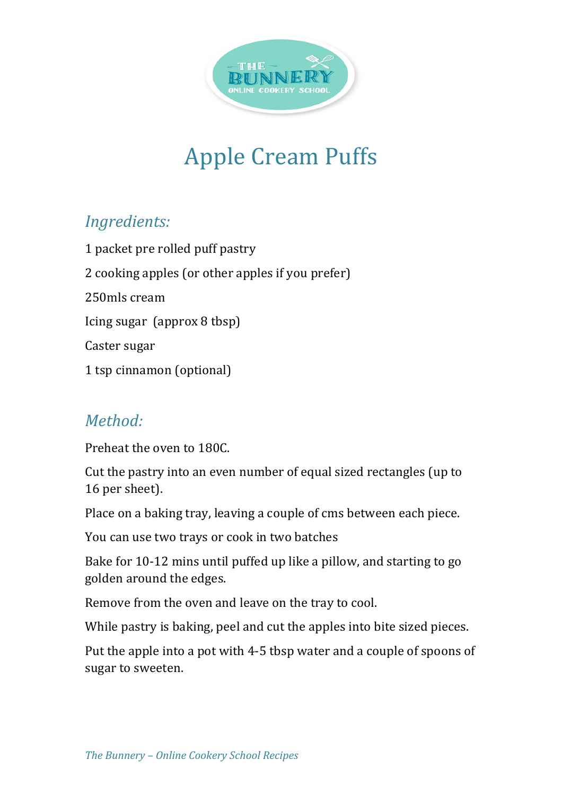

## **Apple Cream Puffs**

## *Ingredients:*

1 packet pre rolled puff pastry 2 cooking apples (or other apples if you prefer) 250mls cream Icing sugar  $\left($ approx 8 tbsp $\right)$ Caster sugar 1 tsp cinnamon (optional)

## *Method:*

Preheat the oven to 180C.

Cut the pastry into an even number of equal sized rectangles (up to 16 per sheet).

Place on a baking tray, leaving a couple of cms between each piece.

You can use two trays or cook in two batches

Bake for 10-12 mins until puffed up like a pillow, and starting to go golden around the edges.

Remove from the oven and leave on the tray to cool.

While pastry is baking, peel and cut the apples into bite sized pieces.

Put the apple into a pot with 4-5 tbsp water and a couple of spoons of sugar to sweeten.